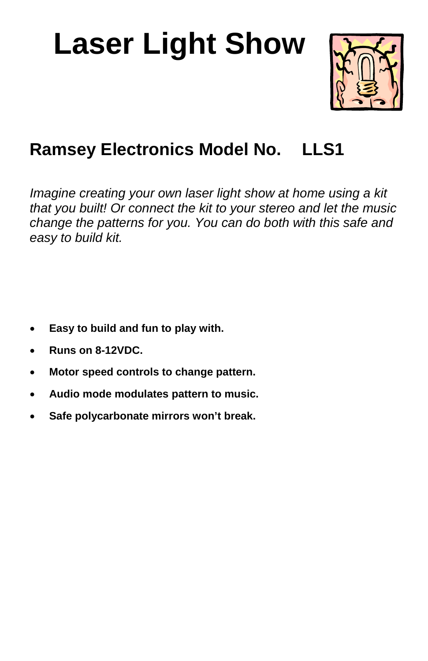# **Laser Light Show**



# **Ramsey Electronics Model No. LLS1**

*Imagine creating your own laser light show at home using a kit that you built! Or connect the kit to your stereo and let the music change the patterns for you. You can do both with this safe and easy to build kit.* 

- **Easy to build and fun to play with.**
- **Runs on 8-12VDC.**
- **Motor speed controls to change pattern.**
- **Audio mode modulates pattern to music.**
- **Safe polycarbonate mirrors won't break.**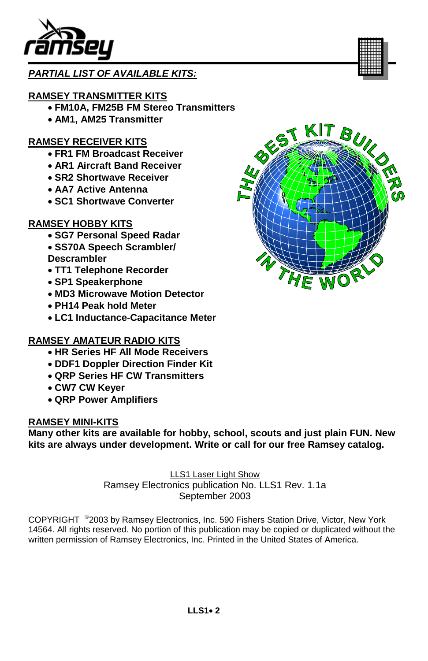

#### *PARTIAL LIST OF AVAILABLE KITS:*

#### **RAMSEY TRANSMITTER KITS**

- **FM10A, FM25B FM Stereo Transmitters**
- **AM1, AM25 Transmitter**

#### **RAMSEY RECEIVER KITS**

- **FR1 FM Broadcast Receiver**
- **AR1 Aircraft Band Receiver**
- **SR2 Shortwave Receiver**
- **AA7 Active Antenna**
- **SC1 Shortwave Converter**

#### **RAMSEY HOBBY KITS**

- **SG7 Personal Speed Radar** • **SS70A Speech Scrambler/ Descrambler**
- **TT1 Telephone Recorder**
- **SP1 Speakerphone**
- **MD3 Microwave Motion Detector**
- **PH14 Peak hold Meter**
- **LC1 Inductance-Capacitance Meter**

#### **RAMSEY AMATEUR RADIO KITS**

- **HR Series HF All Mode Receivers**
- **DDF1 Doppler Direction Finder Kit**
- **QRP Series HF CW Transmitters**
- **CW7 CW Keyer**
- **QRP Power Amplifiers**

#### **RAMSEY MINI-KITS**

**Many other kits are available for hobby, school, scouts and just plain FUN. New kits are always under development. Write or call for our free Ramsey catalog.** 

> LLS1 Laser Light Show Ramsey Electronics publication No. LLS1 Rev. 1.1a September 2003

COPYRIGHT ©2003 by Ramsey Electronics, Inc. 590 Fishers Station Drive, Victor, New York 14564. All rights reserved. No portion of this publication may be copied or duplicated without the written permission of Ramsey Electronics, Inc. Printed in the United States of America.

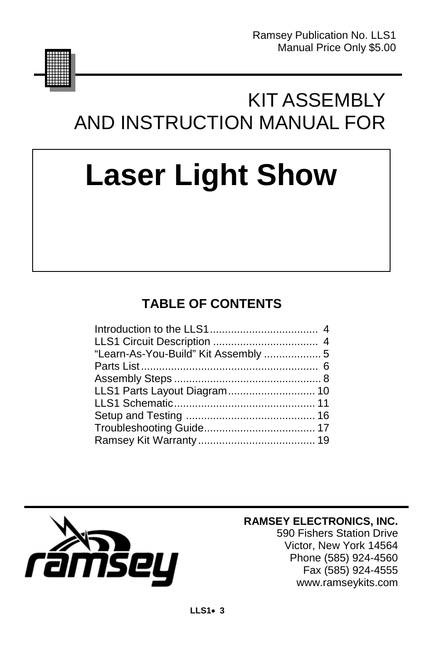

# KIT ASSEMBLY AND INSTRUCTION MANUAL FOR

# **Laser Light Show**

# **TABLE OF CONTENTS**

| LLS1 Parts Layout Diagram 10 |  |
|------------------------------|--|
|                              |  |
|                              |  |
|                              |  |
|                              |  |
|                              |  |



#### **RAMSEY ELECTRONICS, INC.**

590 Fishers Station Drive Victor, New York 14564 Phone (585) 924-4560 Fax (585) 924-4555 www.ramseykits.com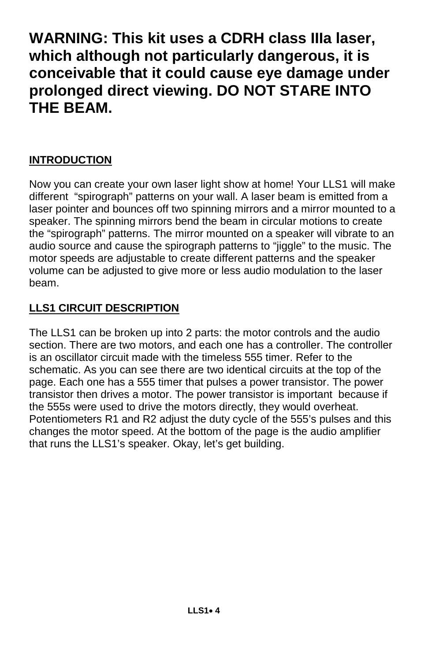# **WARNING: This kit uses a CDRH class IIIa laser, which although not particularly dangerous, it is conceivable that it could cause eye damage under prolonged direct viewing. DO NOT STARE INTO THE BEAM.**

#### **INTRODUCTION**

Now you can create your own laser light show at home! Your LLS1 will make different "spirograph" patterns on your wall. A laser beam is emitted from a laser pointer and bounces off two spinning mirrors and a mirror mounted to a speaker. The spinning mirrors bend the beam in circular motions to create the "spirograph" patterns. The mirror mounted on a speaker will vibrate to an audio source and cause the spirograph patterns to "jiggle" to the music. The motor speeds are adjustable to create different patterns and the speaker volume can be adjusted to give more or less audio modulation to the laser beam.

#### **LLS1 CIRCUIT DESCRIPTION**

The LLS1 can be broken up into 2 parts: the motor controls and the audio section. There are two motors, and each one has a controller. The controller is an oscillator circuit made with the timeless 555 timer. Refer to the schematic. As you can see there are two identical circuits at the top of the page. Each one has a 555 timer that pulses a power transistor. The power transistor then drives a motor. The power transistor is important because if the 555s were used to drive the motors directly, they would overheat. Potentiometers R1 and R2 adjust the duty cycle of the 555's pulses and this changes the motor speed. At the bottom of the page is the audio amplifier that runs the LLS1's speaker. Okay, let's get building.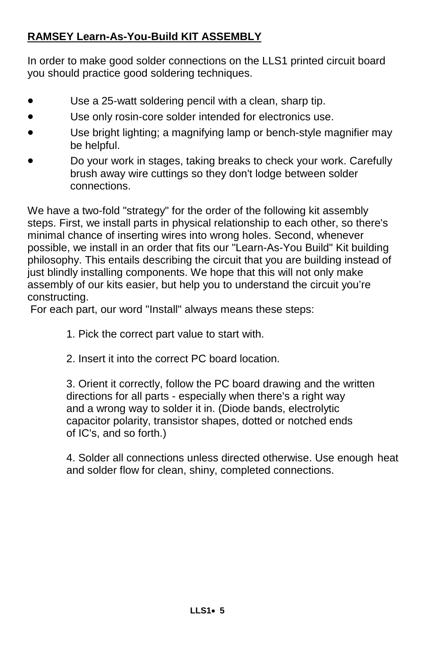#### **RAMSEY Learn-As-You-Build KIT ASSEMBLY**

In order to make good solder connections on the LLS1 printed circuit board you should practice good soldering techniques.

- Use a 25-watt soldering pencil with a clean, sharp tip.
- Use only rosin-core solder intended for electronics use.
- Use bright lighting; a magnifying lamp or bench-style magnifier may be helpful.
- Do your work in stages, taking breaks to check your work. Carefully brush away wire cuttings so they don't lodge between solder connections.

We have a two-fold "strategy" for the order of the following kit assembly steps. First, we install parts in physical relationship to each other, so there's minimal chance of inserting wires into wrong holes. Second, whenever possible, we install in an order that fits our "Learn-As-You Build" Kit building philosophy. This entails describing the circuit that you are building instead of just blindly installing components. We hope that this will not only make assembly of our kits easier, but help you to understand the circuit you're constructing.

For each part, our word "Install" always means these steps:

- 1. Pick the correct part value to start with.
- 2. Insert it into the correct PC board location.

 3. Orient it correctly, follow the PC board drawing and the written directions for all parts - especially when there's a right way and a wrong way to solder it in. (Diode bands, electrolytic capacitor polarity, transistor shapes, dotted or notched ends of IC's, and so forth.)

 4. Solder all connections unless directed otherwise. Use enough heat and solder flow for clean, shiny, completed connections.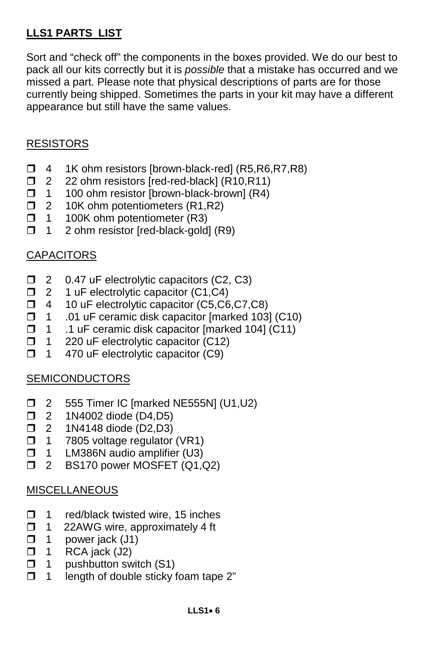#### **LLS1 PARTS LIST**

Sort and "check off" the components in the boxes provided. We do our best to pack all our kits correctly but it is *possible* that a mistake has occurred and we missed a part. Please note that physical descriptions of parts are for those currently being shipped. Sometimes the parts in your kit may have a different appearance but still have the same values.

#### RESISTORS

- $\Box$  4 1K ohm resistors [brown-black-red] (R5,R6,R7,R8)
- $\Box$  2 22 ohm resistors [red-red-black] (R10,R11)
- $\Box$  1 100 ohm resistor [brown-black-brown] (R4)
- $\Box$  2 10K ohm potentiometers (R1,R2)
- $\Box$  1 100K ohm potentiometer (R3)
- $\Box$  1 2 ohm resistor [red-black-gold] (R9)

#### CAPACITORS

- □ 2 0.47 uF electrolytic capacitors (C2, C3)
- □ 2 1 uF electrolytic capacitor (C1,C4)
- □ 4 10 uF electrolytic capacitor (C5,C6,C7,C8)
- $\Box$  1 .01 uF ceramic disk capacitor [marked 103] (C10)
- 1 .1 uF ceramic disk capacitor [marked 104] (C11)
- $\Box$  1 220 uF electrolytic capacitor (C12)
- $\Box$  1 470 uF electrolytic capacitor (C9)

#### **SEMICONDUCTORS**

- □ 2 555 Timer IC [marked NE555N] (U1,U2)
- **12** 1N4002 diode (D4,D5)
- □ 2 1N4148 diode (D2,D3)
- $\Box$  1 7805 voltage regulator (VR1)
- $\Box$  1 LM386N audio amplifier (U3)
- **D** 2 BS170 power MOSFET (Q1,Q2)

#### **MISCELLANEOUS**

- $\Box$  1 red/black twisted wire, 15 inches
- $\Box$  1 22AWG wire, approximately 4 ft  $\Box$  1 power jack (J1)
- power jack (J1)
- $\Box$  1 RCA jack (J2)
- $\Box$  1 pushbutton switch (S1)
- $\Box$  1 length of double sticky foam tape 2"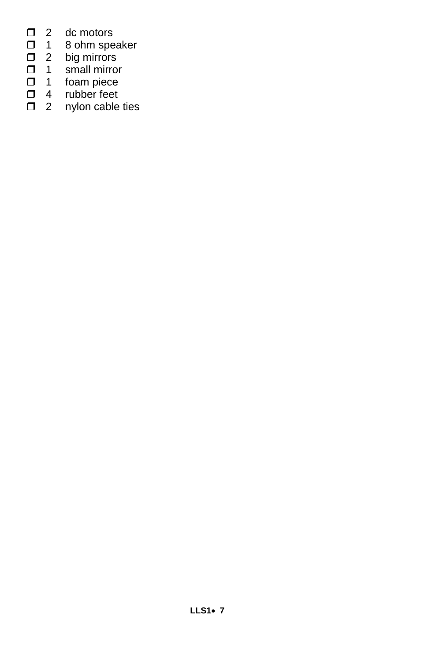- $\Box$  2 dc motors<br> $\Box$  1 8 ohm spe
- 1 8 ohm speaker
- □ 2 big mirrors
- 1 small mirror
- 1 foam piece
- **1** 4 rubber feet
- $\Box$  2 nylon cable ties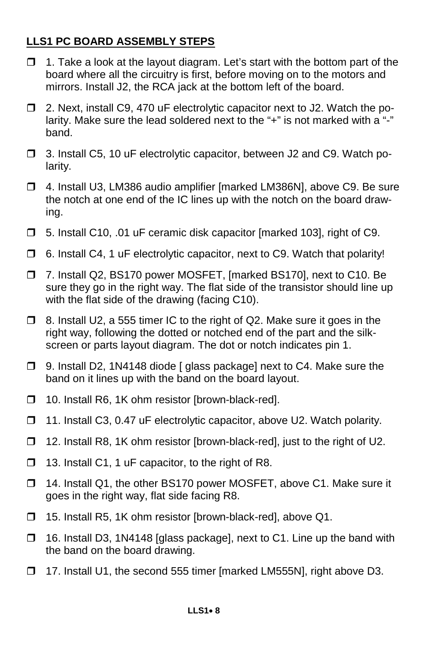#### **LLS1 PC BOARD ASSEMBLY STEPS**

- $\Box$  1. Take a look at the layout diagram. Let's start with the bottom part of the board where all the circuitry is first, before moving on to the motors and mirrors. Install J2, the RCA jack at the bottom left of the board.
- □ 2. Next, install C9, 470 uF electrolytic capacitor next to J2. Watch the polarity. Make sure the lead soldered next to the "+" is not marked with a "-" band.
- 3. Install C5, 10 uF electrolytic capacitor, between J2 and C9. Watch polarity.
- 4. Install U3, LM386 audio amplifier [marked LM386N], above C9. Be sure the notch at one end of the IC lines up with the notch on the board drawing.
- 5. Install C10, .01 uF ceramic disk capacitor [marked 103], right of C9.
- $\Box$  6. Install C4, 1 uF electrolytic capacitor, next to C9. Watch that polarity!
- 7. Install Q2, BS170 power MOSFET, [marked BS170], next to C10. Be sure they go in the right way. The flat side of the transistor should line up with the flat side of the drawing (facing C10).
- $\Box$  8. Install U2, a 555 timer IC to the right of Q2. Make sure it goes in the right way, following the dotted or notched end of the part and the silkscreen or parts layout diagram. The dot or notch indicates pin 1.
- □ 9. Install D2, 1N4148 diode [ glass package] next to C4. Make sure the band on it lines up with the band on the board layout.
- □ 10. Install R6, 1K ohm resistor [brown-black-red].
- □ 11. Install C3, 0.47 uF electrolytic capacitor, above U2. Watch polarity.
- □ 12. Install R8, 1K ohm resistor [brown-black-red], just to the right of U2.
- $\Box$  13. Install C1, 1 uF capacitor, to the right of R8.
- □ 14. Install Q1, the other BS170 power MOSFET, above C1. Make sure it goes in the right way, flat side facing R8.
- □ 15. Install R5, 1K ohm resistor [brown-black-red], above Q1.
- $\Box$  16. Install D3, 1N4148 [glass package], next to C1. Line up the band with the band on the board drawing.
- 17. Install U1, the second 555 timer [marked LM555N], right above D3.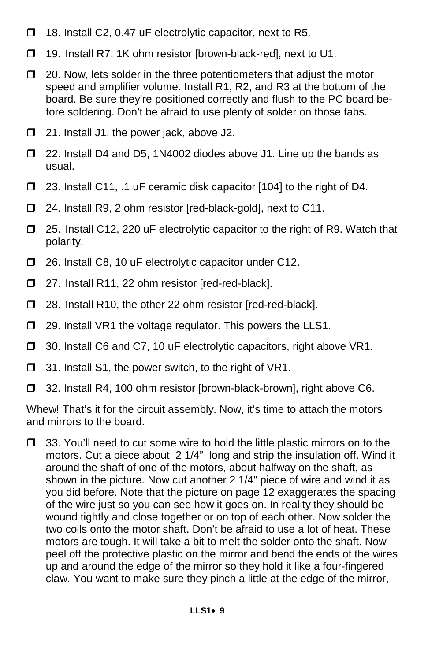- $\Box$  18. Install C2, 0.47 uF electrolytic capacitor, next to R5.
- □ 19. Install R7, 1K ohm resistor [brown-black-red], next to U1.
- $\Box$  20. Now, lets solder in the three potentiometers that adjust the motor speed and amplifier volume. Install R1, R2, and R3 at the bottom of the board. Be sure they're positioned correctly and flush to the PC board before soldering. Don't be afraid to use plenty of solder on those tabs.
- □ 21. Install J1, the power jack, above J2.
- □ 22. Install D4 and D5, 1N4002 diodes above J1. Line up the bands as usual.
- □ 23. Install C11, .1 uF ceramic disk capacitor [104] to the right of D4.
- □ 24. Install R9, 2 ohm resistor [red-black-gold], next to C11.
- □ 25. Install C12, 220 uF electrolytic capacitor to the right of R9. Watch that polarity.
- □ 26. Install C8, 10 uF electrolytic capacitor under C12.
- □ 27. Install R11, 22 ohm resistor [red-red-black].
- □ 28. Install R10, the other 22 ohm resistor [red-red-black].
- □ 29. Install VR1 the voltage regulator. This powers the LLS1.
- □ 30. Install C6 and C7, 10 uF electrolytic capacitors, right above VR1.
- $\Box$  31. Install S1, the power switch, to the right of VR1.
- □ 32. Install R4, 100 ohm resistor [brown-black-brown], right above C6.

Whew! That's it for the circuit assembly. Now, it's time to attach the motors and mirrors to the board.

 $\Box$  33. You'll need to cut some wire to hold the little plastic mirrors on to the motors. Cut a piece about 2 1/4" long and strip the insulation off. Wind it around the shaft of one of the motors, about halfway on the shaft, as shown in the picture. Now cut another 2 1/4" piece of wire and wind it as you did before. Note that the picture on page 12 exaggerates the spacing of the wire just so you can see how it goes on. In reality they should be wound tightly and close together or on top of each other. Now solder the two coils onto the motor shaft. Don't be afraid to use a lot of heat. These motors are tough. It will take a bit to melt the solder onto the shaft. Now peel off the protective plastic on the mirror and bend the ends of the wires up and around the edge of the mirror so they hold it like a four-fingered claw. You want to make sure they pinch a little at the edge of the mirror,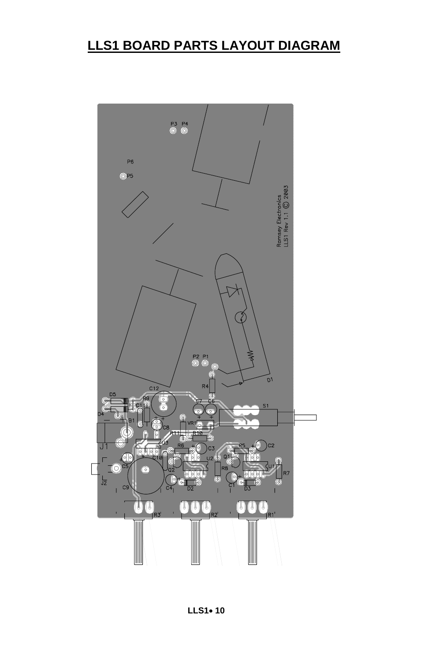### **LLS1 BOARD PARTS LAYOUT DIAGRAM**

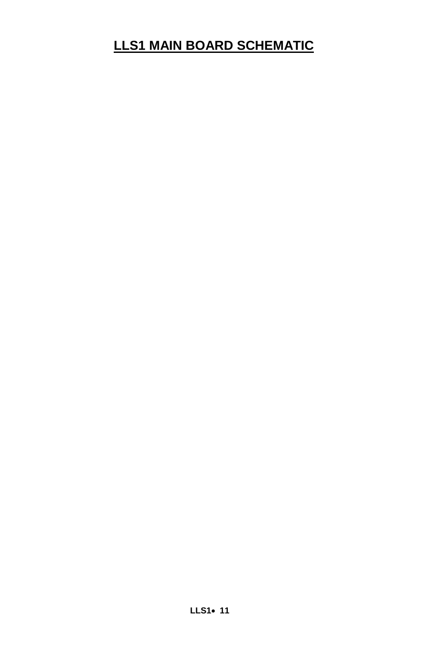### **LLS1 MAIN BOARD SCHEMATIC**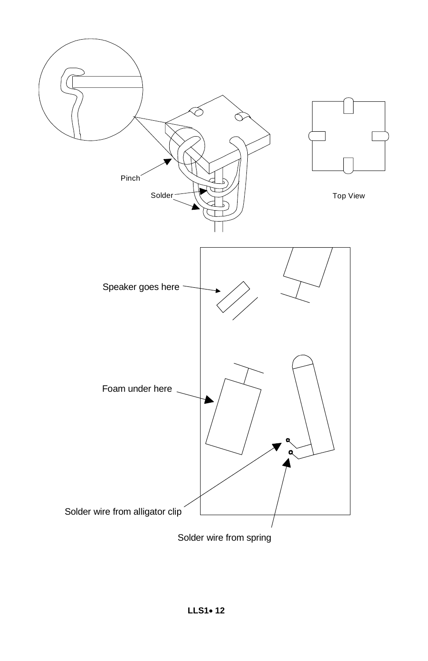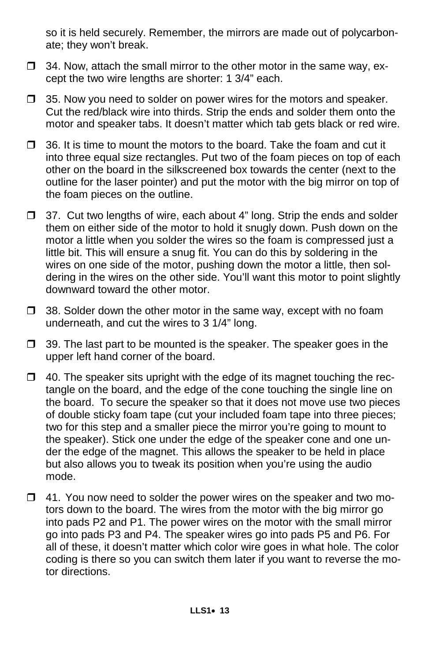so it is held securely. Remember, the mirrors are made out of polycarbonate; they won't break.

- $\Box$  34. Now, attach the small mirror to the other motor in the same way, except the two wire lengths are shorter: 1 3/4" each.
- $\Box$  35. Now you need to solder on power wires for the motors and speaker. Cut the red/black wire into thirds. Strip the ends and solder them onto the motor and speaker tabs. It doesn't matter which tab gets black or red wire.
- $\Box$  36. It is time to mount the motors to the board. Take the foam and cut it into three equal size rectangles. Put two of the foam pieces on top of each other on the board in the silkscreened box towards the center (next to the outline for the laser pointer) and put the motor with the big mirror on top of the foam pieces on the outline.
- $\Box$  37. Cut two lengths of wire, each about 4" long. Strip the ends and solder them on either side of the motor to hold it snugly down. Push down on the motor a little when you solder the wires so the foam is compressed just a little bit. This will ensure a snug fit. You can do this by soldering in the wires on one side of the motor, pushing down the motor a little, then soldering in the wires on the other side. You'll want this motor to point slightly downward toward the other motor.
- $\Box$  38. Solder down the other motor in the same way, except with no foam underneath, and cut the wires to 3 1/4" long.
- $\Box$  39. The last part to be mounted is the speaker. The speaker goes in the upper left hand corner of the board.
- $\Box$  40. The speaker sits upright with the edge of its magnet touching the rectangle on the board, and the edge of the cone touching the single line on the board. To secure the speaker so that it does not move use two pieces of double sticky foam tape (cut your included foam tape into three pieces; two for this step and a smaller piece the mirror you're going to mount to the speaker). Stick one under the edge of the speaker cone and one under the edge of the magnet. This allows the speaker to be held in place but also allows you to tweak its position when you're using the audio mode.
- $\Box$  41. You now need to solder the power wires on the speaker and two motors down to the board. The wires from the motor with the big mirror go into pads P2 and P1. The power wires on the motor with the small mirror go into pads P3 and P4. The speaker wires go into pads P5 and P6. For all of these, it doesn't matter which color wire goes in what hole. The color coding is there so you can switch them later if you want to reverse the motor directions.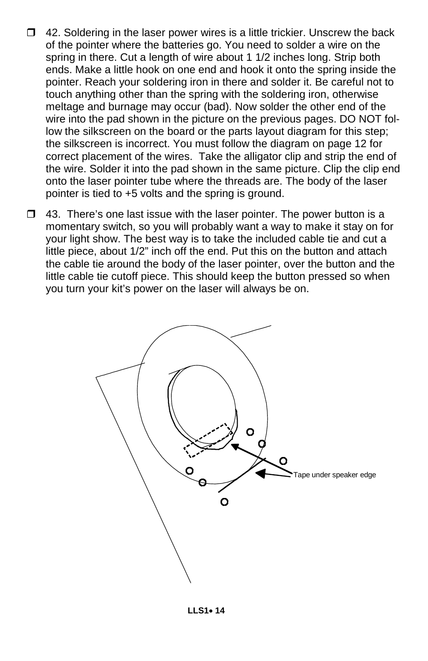- $\Box$  42. Soldering in the laser power wires is a little trickier. Unscrew the back of the pointer where the batteries go. You need to solder a wire on the spring in there. Cut a length of wire about 1 1/2 inches long. Strip both ends. Make a little hook on one end and hook it onto the spring inside the pointer. Reach your soldering iron in there and solder it. Be careful not to touch anything other than the spring with the soldering iron, otherwise meltage and burnage may occur (bad). Now solder the other end of the wire into the pad shown in the picture on the previous pages. DO NOT follow the silkscreen on the board or the parts layout diagram for this step; the silkscreen is incorrect. You must follow the diagram on page 12 for correct placement of the wires. Take the alligator clip and strip the end of the wire. Solder it into the pad shown in the same picture. Clip the clip end onto the laser pointer tube where the threads are. The body of the laser pointer is tied to +5 volts and the spring is ground.
- $\Box$  43. There's one last issue with the laser pointer. The power button is a momentary switch, so you will probably want a way to make it stay on for your light show. The best way is to take the included cable tie and cut a little piece, about 1/2" inch off the end. Put this on the button and attach the cable tie around the body of the laser pointer, over the button and the little cable tie cutoff piece. This should keep the button pressed so when you turn your kit's power on the laser will always be on.

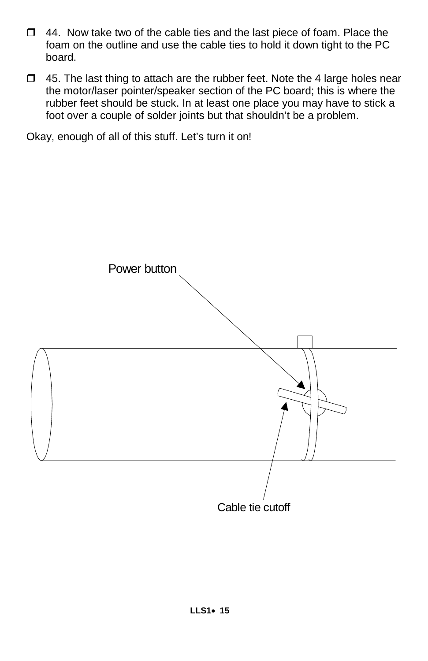- $\Box$  44. Now take two of the cable ties and the last piece of foam. Place the foam on the outline and use the cable ties to hold it down tight to the PC board.
- $\Box$  45. The last thing to attach are the rubber feet. Note the 4 large holes near the motor/laser pointer/speaker section of the PC board; this is where the rubber feet should be stuck. In at least one place you may have to stick a foot over a couple of solder joints but that shouldn't be a problem.

Okay, enough of all of this stuff. Let's turn it on!

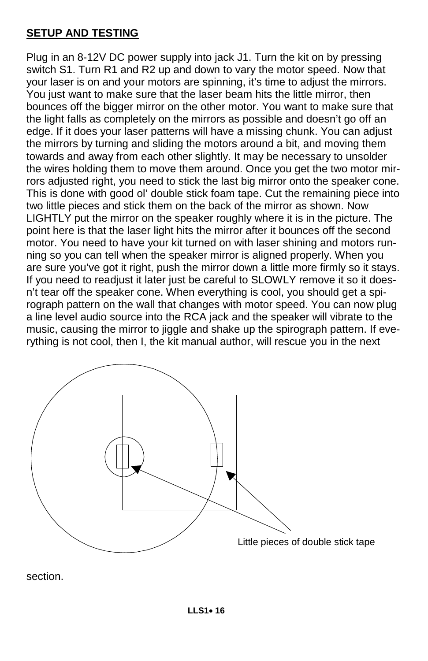#### **SETUP AND TESTING**

Plug in an 8-12V DC power supply into jack J1. Turn the kit on by pressing switch S1. Turn R1 and R2 up and down to vary the motor speed. Now that your laser is on and your motors are spinning, it's time to adjust the mirrors. You just want to make sure that the laser beam hits the little mirror, then bounces off the bigger mirror on the other motor. You want to make sure that the light falls as completely on the mirrors as possible and doesn't go off an edge. If it does your laser patterns will have a missing chunk. You can adjust the mirrors by turning and sliding the motors around a bit, and moving them towards and away from each other slightly. It may be necessary to unsolder the wires holding them to move them around. Once you get the two motor mirrors adjusted right, you need to stick the last big mirror onto the speaker cone. This is done with good ol' double stick foam tape. Cut the remaining piece into two little pieces and stick them on the back of the mirror as shown. Now LIGHTLY put the mirror on the speaker roughly where it is in the picture. The point here is that the laser light hits the mirror after it bounces off the second motor. You need to have your kit turned on with laser shining and motors running so you can tell when the speaker mirror is aligned properly. When you are sure you've got it right, push the mirror down a little more firmly so it stays. If you need to readjust it later just be careful to SLOWLY remove it so it doesn't tear off the speaker cone. When everything is cool, you should get a spirograph pattern on the wall that changes with motor speed. You can now plug a line level audio source into the RCA jack and the speaker will vibrate to the music, causing the mirror to jiggle and shake up the spirograph pattern. If everything is not cool, then I, the kit manual author, will rescue you in the next



section.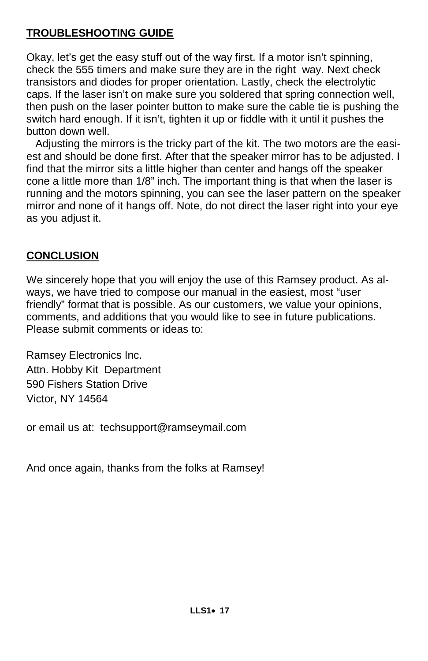#### **TROUBLESHOOTING GUIDE**

Okay, let's get the easy stuff out of the way first. If a motor isn't spinning, check the 555 timers and make sure they are in the right way. Next check transistors and diodes for proper orientation. Lastly, check the electrolytic caps. If the laser isn't on make sure you soldered that spring connection well, then push on the laser pointer button to make sure the cable tie is pushing the switch hard enough. If it isn't, tighten it up or fiddle with it until it pushes the button down well.

 Adjusting the mirrors is the tricky part of the kit. The two motors are the easiest and should be done first. After that the speaker mirror has to be adjusted. I find that the mirror sits a little higher than center and hangs off the speaker cone a little more than 1/8" inch. The important thing is that when the laser is running and the motors spinning, you can see the laser pattern on the speaker mirror and none of it hangs off. Note, do not direct the laser right into your eye as you adjust it.

#### **CONCLUSION**

We sincerely hope that you will enjoy the use of this Ramsey product. As always, we have tried to compose our manual in the easiest, most "user friendly" format that is possible. As our customers, we value your opinions, comments, and additions that you would like to see in future publications. Please submit comments or ideas to:

Ramsey Electronics Inc. Attn. Hobby Kit Department 590 Fishers Station Drive Victor, NY 14564

or email us at: techsupport@ramseymail.com

And once again, thanks from the folks at Ramsey!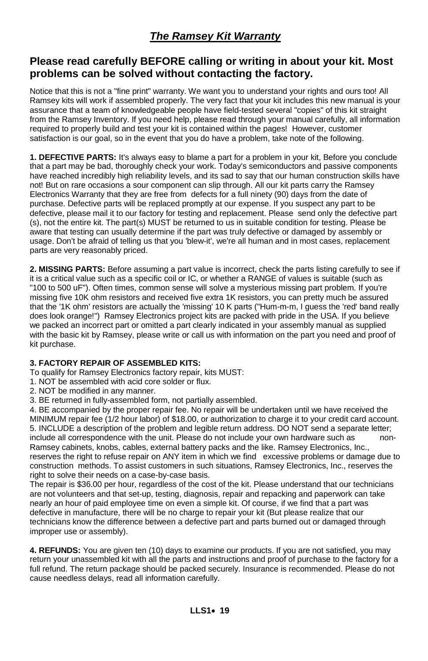#### *The Ramsey Kit Warranty*

#### **Please read carefully BEFORE calling or writing in about your kit. Most problems can be solved without contacting the factory.**

Notice that this is not a "fine print" warranty. We want you to understand your rights and ours too! All Ramsey kits will work if assembled properly. The very fact that your kit includes this new manual is your assurance that a team of knowledgeable people have field-tested several "copies" of this kit straight from the Ramsey Inventory. If you need help, please read through your manual carefully, all information required to properly build and test your kit is contained within the pages! However, customer satisfaction is our goal, so in the event that you do have a problem, take note of the following.

**1. DEFECTIVE PARTS:** It's always easy to blame a part for a problem in your kit, Before you conclude that a part may be bad, thoroughly check your work. Today's semiconductors and passive components have reached incredibly high reliability levels, and its sad to say that our human construction skills have not! But on rare occasions a sour component can slip through. All our kit parts carry the Ramsey Electronics Warranty that they are free from defects for a full ninety (90) days from the date of purchase. Defective parts will be replaced promptly at our expense. If you suspect any part to be defective, please mail it to our factory for testing and replacement. Please send only the defective part (s), not the entire kit. The part(s) MUST be returned to us in suitable condition for testing. Please be aware that testing can usually determine if the part was truly defective or damaged by assembly or usage. Don't be afraid of telling us that you 'blew-it', we're all human and in most cases, replacement parts are very reasonably priced.

**2. MISSING PARTS:** Before assuming a part value is incorrect, check the parts listing carefully to see if it is a critical value such as a specific coil or IC, or whether a RANGE of values is suitable (such as "100 to 500 uF"). Often times, common sense will solve a mysterious missing part problem. If you're missing five 10K ohm resistors and received five extra 1K resistors, you can pretty much be assured that the '1K ohm' resistors are actually the 'missing' 10 K parts ("Hum-m-m, I guess the 'red' band really does look orange!") Ramsey Electronics project kits are packed with pride in the USA. If you believe we packed an incorrect part or omitted a part clearly indicated in your assembly manual as supplied with the basic kit by Ramsey, please write or call us with information on the part you need and proof of kit purchase.

#### **3. FACTORY REPAIR OF ASSEMBLED KITS:**

To qualify for Ramsey Electronics factory repair, kits MUST:

- 1. NOT be assembled with acid core solder or flux.
- 2. NOT be modified in any manner.
- 3. BE returned in fully-assembled form, not partially assembled.

4. BE accompanied by the proper repair fee. No repair will be undertaken until we have received the MINIMUM repair fee (1/2 hour labor) of \$18.00, or authorization to charge it to your credit card account. 5. INCLUDE a description of the problem and legible return address. DO NOT send a separate letter; include all correspondence with the unit. Please do not include your own hardware such as non-Ramsey cabinets, knobs, cables, external battery packs and the like. Ramsey Electronics, Inc., reserves the right to refuse repair on ANY item in which we find excessive problems or damage due to construction methods. To assist customers in such situations, Ramsey Electronics, Inc., reserves the right to solve their needs on a case-by-case basis.

The repair is \$36.00 per hour, regardless of the cost of the kit. Please understand that our technicians are not volunteers and that set-up, testing, diagnosis, repair and repacking and paperwork can take nearly an hour of paid employee time on even a simple kit. Of course, if we find that a part was defective in manufacture, there will be no charge to repair your kit (But please realize that our technicians know the difference between a defective part and parts burned out or damaged through improper use or assembly).

**4. REFUNDS:** You are given ten (10) days to examine our products. If you are not satisfied, you may return your unassembled kit with all the parts and instructions and proof of purchase to the factory for a full refund. The return package should be packed securely. Insurance is recommended. Please do not cause needless delays, read all information carefully.